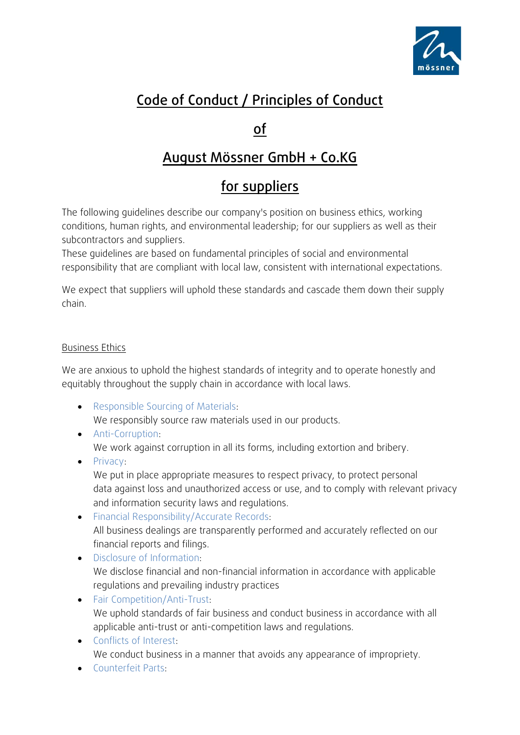

# Code of Conduct / Principles of Conduct

### of

## August Mössner GmbH + Co.KG

# for suppliers

The following guidelines describe our company's position on business ethics, working conditions, human rights, and environmental leadership; for our suppliers as well as their subcontractors and suppliers.

These guidelines are based on fundamental principles of social and environmental responsibility that are compliant with local law, consistent with international expectations.

We expect that suppliers will uphold these standards and cascade them down their supply chain.

### Business Ethics

We are anxious to uphold the highest standards of integrity and to operate honestly and equitably throughout the supply chain in accordance with local laws.

- Responsible Sourcing of Materials: We responsibly source raw materials used in our products.
- Anti-Corruption: We work against corruption in all its forms, including extortion and bribery.
- Privacy: We put in place appropriate measures to respect privacy, to protect personal data against loss and unauthorized access or use, and to comply with relevant privacy and information security laws and regulations.
- Financial Responsibility/Accurate Records: All business dealings are transparently performed and accurately reflected on our financial reports and filings.
- Disclosure of Information: We disclose financial and non-financial information in accordance with applicable regulations and prevailing industry practices
- Fair Competition/Anti-Trust: We uphold standards of fair business and conduct business in accordance with all applicable anti-trust or anti-competition laws and regulations.
- Conflicts of Interest: We conduct business in a manner that avoids any appearance of impropriety.
- Counterfeit Parts: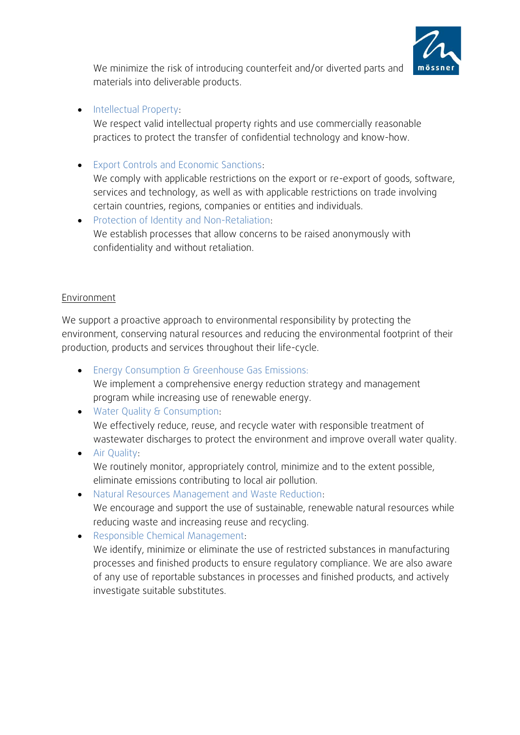

We minimize the risk of introducing counterfeit and/or diverted parts and materials into deliverable products.

• Intellectual Property:

We respect valid intellectual property rights and use commercially reasonable practices to protect the transfer of confidential technology and know-how.

- Export Controls and Economic Sanctions: We comply with applicable restrictions on the export or re-export of goods, software, services and technology, as well as with applicable restrictions on trade involving certain countries, regions, companies or entities and individuals.
- Protection of Identity and Non-Retaliation: We establish processes that allow concerns to be raised anonymously with confidentiality and without retaliation.

#### Environment

We support a proactive approach to environmental responsibility by protecting the environment, conserving natural resources and reducing the environmental footprint of their production, products and services throughout their life-cycle.

- Energy Consumption & Greenhouse Gas Emissions: We implement a comprehensive energy reduction strategy and management program while increasing use of renewable energy.
- Water Quality & Consumption: We effectively reduce, reuse, and recycle water with responsible treatment of wastewater discharges to protect the environment and improve overall water quality.
- Air Quality: We routinely monitor, appropriately control, minimize and to the extent possible, eliminate emissions contributing to local air pollution.
- Natural Resources Management and Waste Reduction: We encourage and support the use of sustainable, renewable natural resources while reducing waste and increasing reuse and recycling.
- Responsible Chemical Management: We identify, minimize or eliminate the use of restricted substances in manufacturing processes and finished products to ensure regulatory compliance. We are also aware of any use of reportable substances in processes and finished products, and actively investigate suitable substitutes.